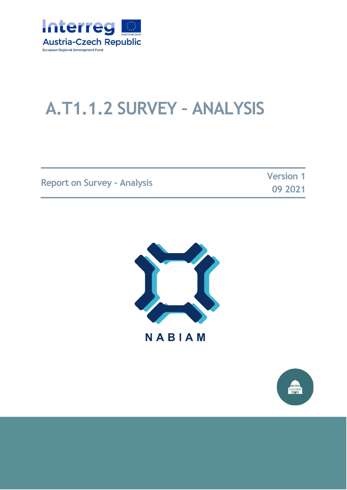

# **A.T1.1.2 SURVEY – ANALYSIS**

|                                    | <b>Version 1</b> |
|------------------------------------|------------------|
| <b>Report on Survey - Analysis</b> | 09 2021          |



**NABIAM** 

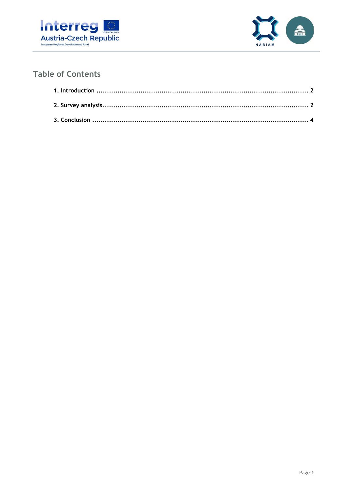



### **Table of Contents**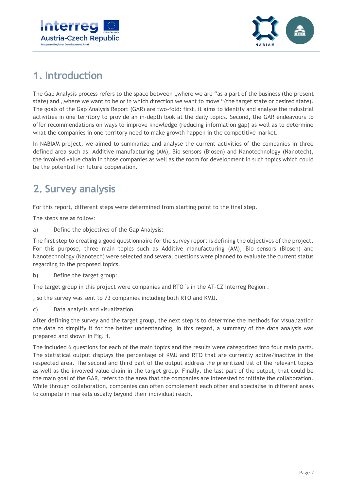



## <span id="page-2-0"></span>**1. Introduction**

The Gap Analysis process refers to the space between "where we are "as a part of the business (the present state) and "where we want to be or in which direction we want to move "(the target state or desired state). The goals of the Gap Analysis Report (GAR) are two-fold: first, it aims to identify and analyse the industrial activities in one territory to provide an in-depth look at the daily topics. Second, the GAR endeavours to offer recommendations on ways to improve knowledge (reducing information gap) as well as to determine what the companies in one territory need to make growth happen in the competitive market.

In NABIAM project, we aimed to summarize and analyse the current activities of the companies in three defined area such as: Additive manufacturing (AM), Bio sensors (Biosen) and Nanotechnology (Nanotech), the involved value chain in those companies as well as the room for development in such topics which could be the potential for future cooperation.

## <span id="page-2-1"></span>**2. Survey analysis**

For this report, different steps were determined from starting point to the final step.

The steps are as follow:

a) Define the objectives of the Gap Analysis:

The first step to creating a good questionnaire for the survey report is defining the objectives of the project. For this purpose, three main topics such as Additive manufacturing (AM), Bio sensors (Biosen) and Nanotechnology (Nanotech) were selected and several questions were planned to evaluate the current status regarding to the proposed topics.

b) Define the target group:

The target group in this project were companies and RTO´s in the AT-CZ Interreg Region .

, so the survey was sent to 73 companies including both RTO and KMU.

c) Data analysis and visualization

After defining the survey and the target group, the next step is to determine the methods for visualization the data to simplify it for the better understanding. In this regard, a summary of the data analysis was prepared and shown in Fig. 1.

The included 6 questions for each of the main topics and the results were categorized into four main parts. The statistical output displays the percentage of KMU and RTO that are currently active/inactive in the respected area. The second and third part of the output address the prioritized list of the relevant topics as well as the involved value chain in the target group. Finally, the last part of the output, that could be the main goal of the GAR, refers to the area that the companies are interested to initiate the collaboration. While through collaboration, companies can often complement each other and specialise in different areas to compete in markets usually beyond their individual reach.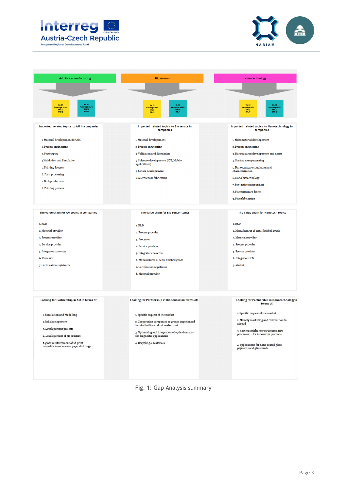



| <b>Additive manufacturing</b>                                                                                                                                                                        | <b>Biosensors</b>                                                                                                                                                                                                                         | <b>Nanotechnology</b>                                                                                                                                                                                                                                                                         |
|------------------------------------------------------------------------------------------------------------------------------------------------------------------------------------------------------|-------------------------------------------------------------------------------------------------------------------------------------------------------------------------------------------------------------------------------------------|-----------------------------------------------------------------------------------------------------------------------------------------------------------------------------------------------------------------------------------------------------------------------------------------------|
| No. 39<br><b>Yes</b> , 31<br>rentage, 63,4%<br>KMO.IO<br>RTO, IS<br>Percentage. 96.6%<br>KM0.10<br>RTO, 12                                                                                           | <b>yes. 23</b><br>Percentage. 31.5%<br>KMO.6<br><b>KMOJE</b><br>RTO. IN<br>RT0, 13                                                                                                                                                        | <b>Yes. 30</b><br>Percentage. 41%<br>RTO, 19                                                                                                                                                                                                                                                  |
| Imported related topics to AM in companies                                                                                                                                                           | Imported related topics to Bio sensor in<br>companies                                                                                                                                                                                     | Imported related topics to Nanotechnology in<br>companies                                                                                                                                                                                                                                     |
| 1. Material developement for AM<br>2. Process engineering<br>3. Prototyping<br>4.Validation and Simulation<br>5. Printing Process<br>6. Post-processing<br>7. Btch production<br>8. Printing process | 1. Material developement<br>2. Process engineering<br>3. Validation and Simulation<br>4. Software developement (IOT, Mobile<br>applications)<br>5. Sensor developement<br>6. Microsensor fabrication                                      | 1. Nanomaterial developement<br>2. Process engineering<br>3. Nanocoatings developement and usage<br>4. Surface nanopatterning<br>5. Nanostructure simulation and<br>characterization<br>6. Nano biotechnology<br>7. bio- active nanosurfaces<br>8. Nanostructure design<br>9. Nanofabrication |
| The Value chain for AM topics in companies<br>1. R&D<br>2. Material provider<br>3. Process provider<br>4. Service provider<br>5. Integrator converter<br>6. Processor                                | The Value chain for Bio Sensor topics<br>1. R&D<br>2. Process provider<br>3. Processor<br>4. Service provider<br>5. Integrator converter                                                                                                  | The Value chain for Nanotech topics<br>1. R&D<br>2. Manufacturer of semi-finished goods<br>3. Material provider<br>4. Process provider<br>5. Service provider<br>6. Integrator OEM                                                                                                            |
| 7. Certification registrator                                                                                                                                                                         | 6. Manufacturer of semi-finished goods<br>7. Certification registrator<br>8. Material provider                                                                                                                                            | 7. Market                                                                                                                                                                                                                                                                                     |
| Looking for Partnership in AM in terms of:                                                                                                                                                           | Looking for Partnership in Bio sensors in terms of:                                                                                                                                                                                       | Looking for Partnership in Nanotechnology ir<br>terms of:                                                                                                                                                                                                                                     |
| 1. Simulation and Modelling<br>2. Ink developement<br>3. Developement projects<br>4. Developement of 3D printers<br>5. glass reinforcement of 3d print<br>materials to reduce warpage, shrinkage     | 1. Specific request of the market<br>2. Cooperation companies or groups experienced<br>in micrfluidics and microelectronic<br>3. Optimizing and integration of optical sensors<br>for diagnostic applications<br>4. Recycling & Materials | 1. Specific request of the market<br>2. Namely marketing and distribution in<br>abroad<br>3. new materials; new structures; new<br>processes;  for innovative products<br>4. applications for nano coated glass<br>pigments and glass beads                                                   |

Fig. 1: Gap Analysis summary